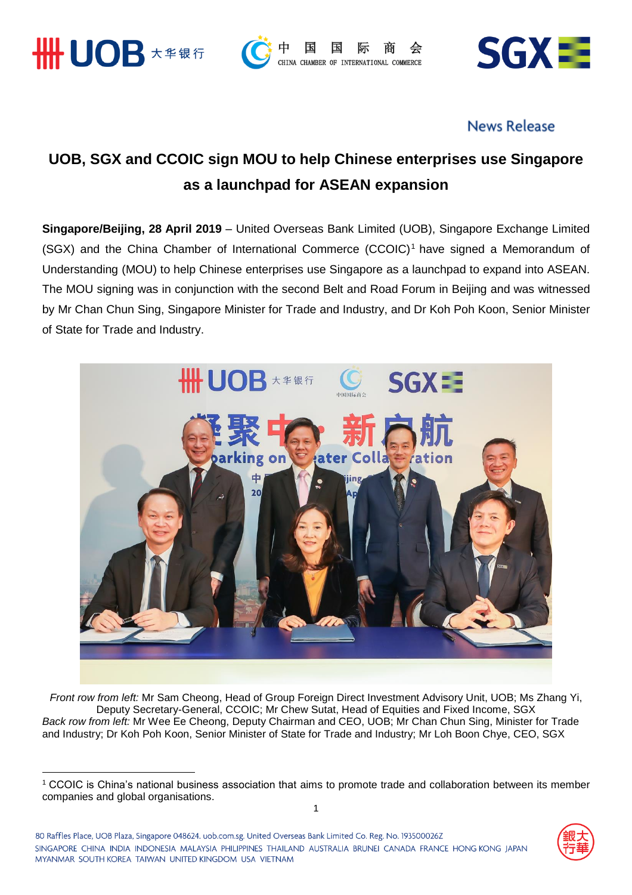

<u>.</u>





## **News Release**

# **UOB, SGX and CCOIC sign MOU to help Chinese enterprises use Singapore as a launchpad for ASEAN expansion**

**Singapore/Beijing, 28 April 2019** – United Overseas Bank Limited (UOB), Singapore Exchange Limited (SGX) and the China Chamber of International Commerce (CCOIC)<sup>1</sup> have signed a Memorandum of Understanding (MOU) to help Chinese enterprises use Singapore as a launchpad to expand into ASEAN. The MOU signing was in conjunction with the second Belt and Road Forum in Beijing and was witnessed by Mr Chan Chun Sing, Singapore Minister for Trade and Industry, and Dr Koh Poh Koon, Senior Minister of State for Trade and Industry.



*Front row from left:* Mr Sam Cheong, Head of Group Foreign Direct Investment Advisory Unit, UOB; Ms Zhang Yi, Deputy Secretary-General, CCOIC; Mr Chew Sutat, Head of Equities and Fixed Income, SGX *Back row from left:* Mr Wee Ee Cheong, Deputy Chairman and CEO, UOB; Mr Chan Chun Sing, Minister for Trade and Industry; Dr Koh Poh Koon, Senior Minister of State for Trade and Industry; Mr Loh Boon Chye, CEO, SGX



<sup>1</sup> CCOIC is China's national business association that aims to promote trade and collaboration between its member companies and global organisations.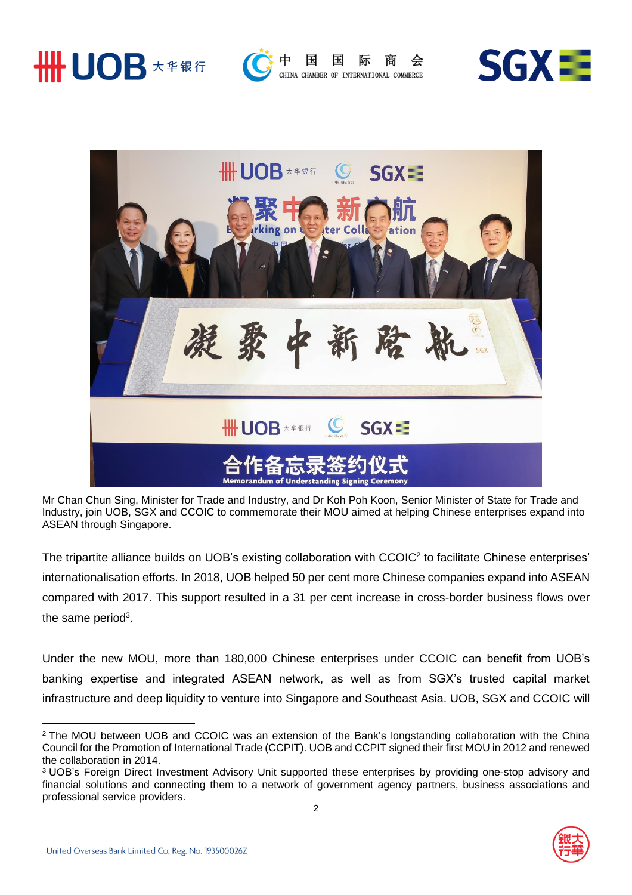



CHINA CHAMBER OF INTERNATIONAL COMMERCE





Mr Chan Chun Sing, Minister for Trade and Industry, and Dr Koh Poh Koon, Senior Minister of State for Trade and Industry, join UOB, SGX and CCOIC to commemorate their MOU aimed at helping Chinese enterprises expand into ASEAN through Singapore.

The tripartite alliance builds on UOB's existing collaboration with CCOIC<sup>2</sup> to facilitate Chinese enterprises' internationalisation efforts. In 2018, UOB helped 50 per cent more Chinese companies expand into ASEAN compared with 2017. This support resulted in a 31 per cent increase in cross-border business flows over the same period<sup>3</sup>.

Under the new MOU, more than 180,000 Chinese enterprises under CCOIC can benefit from UOB's banking expertise and integrated ASEAN network, as well as from SGX's trusted capital market infrastructure and deep liquidity to venture into Singapore and Southeast Asia. UOB, SGX and CCOIC will



<u>.</u>



<sup>&</sup>lt;sup>2</sup> The MOU between UOB and CCOIC was an extension of the Bank's longstanding collaboration with the China Council for the Promotion of International Trade (CCPIT). UOB and CCPIT signed their first MOU in 2012 and renewed the collaboration in 2014.

<sup>&</sup>lt;sup>3</sup> UOB's Foreign Direct Investment Advisory Unit supported these enterprises by providing one-stop advisory and financial solutions and connecting them to a network of government agency partners, business associations and professional service providers.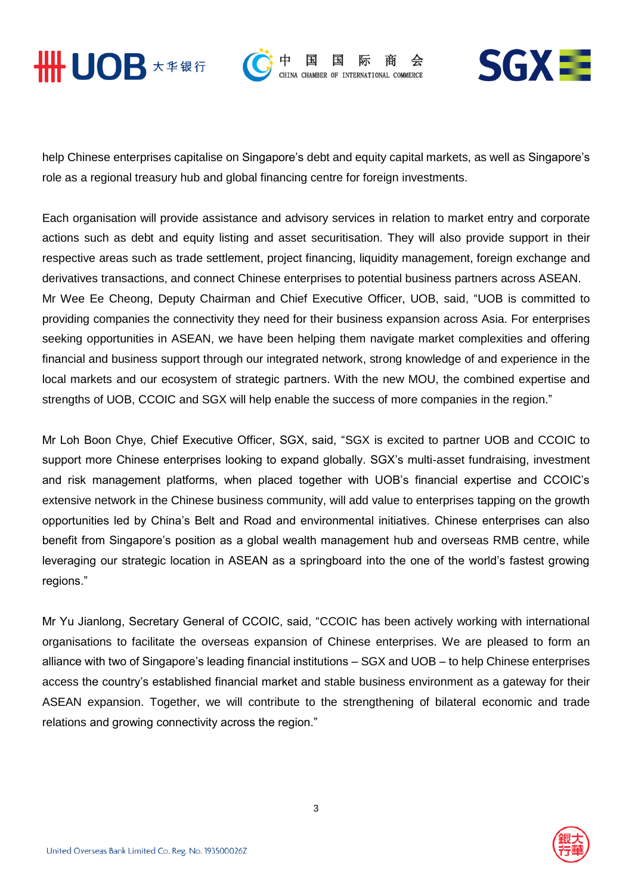



CHINA CHAMBER OF



help Chinese enterprises capitalise on Singapore's debt and equity capital markets, as well as Singapore's role as a regional treasury hub and global financing centre for foreign investments.

Each organisation will provide assistance and advisory services in relation to market entry and corporate actions such as debt and equity listing and asset securitisation. They will also provide support in their respective areas such as trade settlement, project financing, liquidity management, foreign exchange and derivatives transactions, and connect Chinese enterprises to potential business partners across ASEAN. Mr Wee Ee Cheong, Deputy Chairman and Chief Executive Officer, UOB, said, "UOB is committed to providing companies the connectivity they need for their business expansion across Asia. For enterprises seeking opportunities in ASEAN, we have been helping them navigate market complexities and offering financial and business support through our integrated network, strong knowledge of and experience in the local markets and our ecosystem of strategic partners. With the new MOU, the combined expertise and strengths of UOB, CCOIC and SGX will help enable the success of more companies in the region."

Mr Loh Boon Chye, Chief Executive Officer, SGX, said, "SGX is excited to partner UOB and CCOIC to support more Chinese enterprises looking to expand globally. SGX's multi-asset fundraising, investment and risk management platforms, when placed together with UOB's financial expertise and CCOIC's extensive network in the Chinese business community, will add value to enterprises tapping on the growth opportunities led by China's Belt and Road and environmental initiatives. Chinese enterprises can also benefit from Singapore's position as a global wealth management hub and overseas RMB centre, while leveraging our strategic location in ASEAN as a springboard into the one of the world's fastest growing regions."

Mr Yu Jianlong, Secretary General of CCOIC, said, "CCOIC has been actively working with international organisations to facilitate the overseas expansion of Chinese enterprises. We are pleased to form an alliance with two of Singapore's leading financial institutions – SGX and UOB – to help Chinese enterprises access the country's established financial market and stable business environment as a gateway for their ASEAN expansion. Together, we will contribute to the strengthening of bilateral economic and trade relations and growing connectivity across the region."

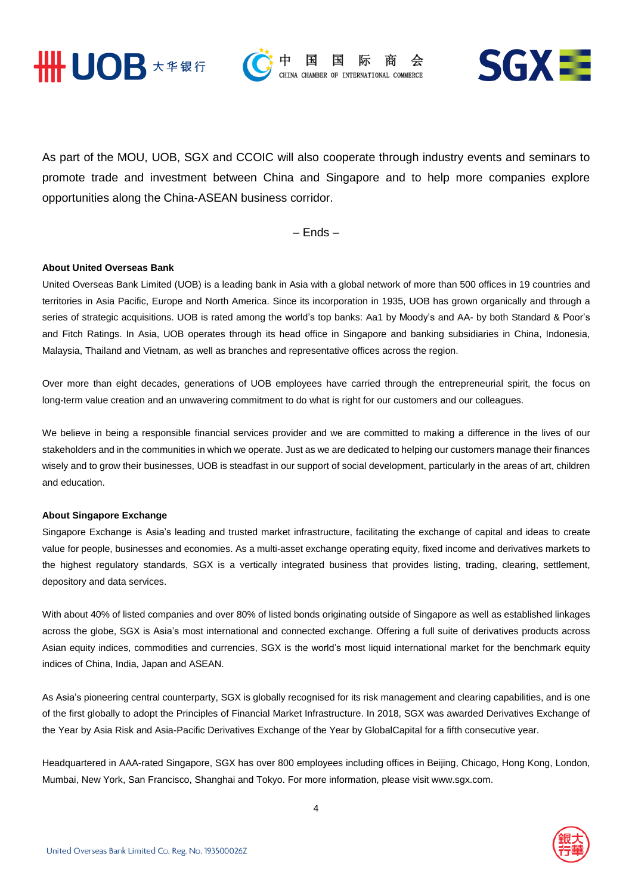





As part of the MOU, UOB, SGX and CCOIC will also cooperate through industry events and seminars to promote trade and investment between China and Singapore and to help more companies explore opportunities along the China-ASEAN business corridor.

– Ends –

#### **About United Overseas Bank**

United Overseas Bank Limited (UOB) is a leading bank in Asia with a global network of more than 500 offices in 19 countries and territories in Asia Pacific, Europe and North America. Since its incorporation in 1935, UOB has grown organically and through a series of strategic acquisitions. UOB is rated among the world's top banks: Aa1 by Moody's and AA- by both Standard & Poor's and Fitch Ratings. In Asia, UOB operates through its head office in Singapore and banking subsidiaries in China, Indonesia, Malaysia, Thailand and Vietnam, as well as branches and representative offices across the region.

Over more than eight decades, generations of UOB employees have carried through the entrepreneurial spirit, the focus on long-term value creation and an unwavering commitment to do what is right for our customers and our colleagues.

We believe in being a responsible financial services provider and we are committed to making a difference in the lives of our stakeholders and in the communities in which we operate. Just as we are dedicated to helping our customers manage their finances wisely and to grow their businesses, UOB is steadfast in our support of social development, particularly in the areas of art, children and education.

#### **About Singapore Exchange**

Singapore Exchange is Asia's leading and trusted market infrastructure, facilitating the exchange of capital and ideas to create value for people, businesses and economies. As a multi-asset exchange operating equity, fixed income and derivatives markets to the highest regulatory standards, SGX is a vertically integrated business that provides listing, trading, clearing, settlement, depository and data services.

With about 40% of listed companies and over 80% of listed bonds originating outside of Singapore as well as established linkages across the globe, SGX is Asia's most international and connected exchange. Offering a full suite of derivatives products across Asian equity indices, commodities and currencies, SGX is the world's most liquid international market for the benchmark equity indices of China, India, Japan and ASEAN.

As Asia's pioneering central counterparty, SGX is globally recognised for its risk management and clearing capabilities, and is one of the first globally to adopt the Principles of Financial Market Infrastructure. In 2018, SGX was awarded Derivatives Exchange of the Year by Asia Risk and Asia-Pacific Derivatives Exchange of the Year by GlobalCapital for a fifth consecutive year.

Headquartered in AAA-rated Singapore, SGX has over 800 employees including offices in Beijing, Chicago, Hong Kong, London, Mumbai, New York, San Francisco, Shanghai and Tokyo. For more information, please visit www.sgx.com.